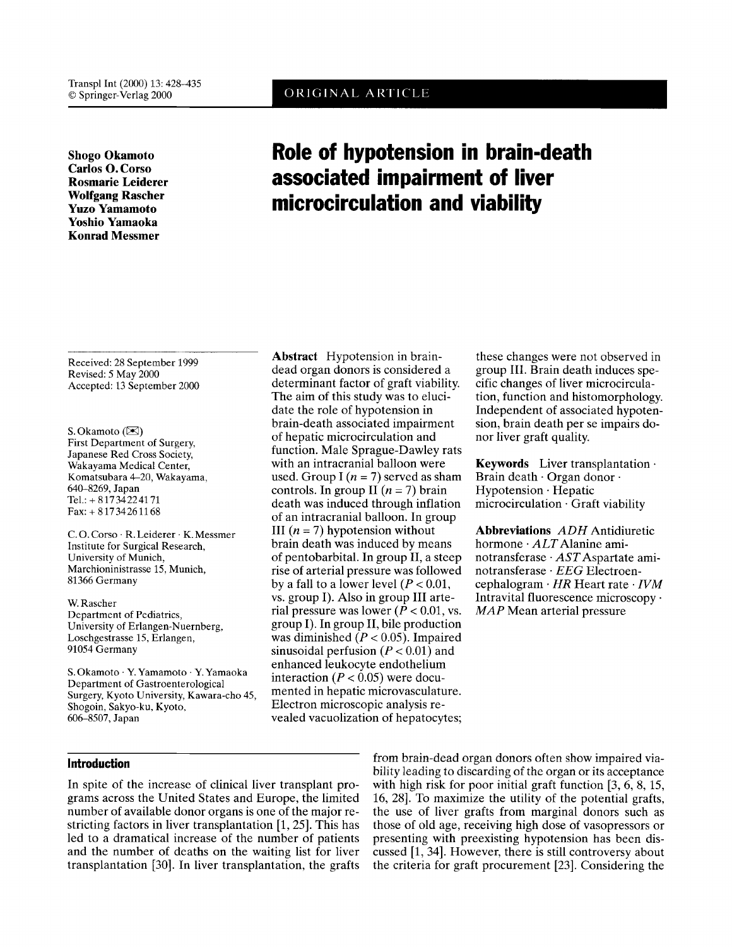# ORIGINAL ARTICLE

**Shogo Okamoto Carlos 0. Corso Rosmarie Leiderer Wolfgang Rascher Yuzo Yamamoto Yoshio Yamaoka Konrad Messmer** 

# **Role of hypotension in brain-death associated impairment of liver microcirculation and viability**

Received: 28 September 1999 Revised: *5* May 2000 Accepted: 13 September 2000

**S.** Okamoto ([XI) First Department of Surgery, Japanese Red Cross Society, Wakayama Medical Center, Komatsubara 4-20, Wakayama, 640-8269, Japan Tel.: + 81734224171 Fax: + 81734261168

C. 0. Corso . R. Leiderer . K. Messmer Institute for Surgical Research, University of Munich, Marchioninistrasse 15, Munich, 81366 Germany

W. Rascher Department of Pediatrics, University of Erlangen-Nuernberg, Loschgestrasse 15, Erlangen, 91054 Germany

**S.** Okamoto . Y.Yamamoto . Y.Yamaoka Department of Gastroenterological Surgery, Kyoto University, Kawara-cho 45, Shogoin, Sakyo-ku, Kyoto, 606-8507, Japan

**Abstract** Hypotension in braindead organ donors is considered a determinant factor of graft viability. The aim of this study was to elucidate the role of hypotension in brain-death associated impairment of hepatic microcirculation and function. Male Sprague-Dawley rats with an intracranial balloon were used. Group  $I(n = 7)$  served as sham controls. In group II  $(n = 7)$  brain death was induced through inflation of an intracranial balloon. In group III  $(n = 7)$  hypotension without brain death was induced by means of pentobarbital. In group 11, a steep rise of arterial pressure was followed by a fall to a lower level  $(P < 0.01$ , vs. group I). Also in group 111 arterial pressure was lower  $(P < 0.01$ , vs. group I). In group **11,** bile production was diminished *(P* < 0.05). Impaired sinusoidal perfusion  $(P < 0.01)$  and enhanced leukocyte endothelium interaction  $(P < 0.05)$  were documented in hepatic microvasculature. Electron microscopic analysis revealed vacuolization of hepatocytes;

these changes were not observed in group 111. Brain death induces specific changes of liver microcirculation, function and histomorphology. Independent of associated hypotension, brain death per se impairs donor liver graft quality.

**Keywords** Liver transplantation . Brain death  $\cdot$  Organ donor  $\cdot$ Hypotension . Hepatic microcirculation . Graft viability

**Abbreviations** ADH Antidiuretic hormone  $\cdot$  ALT Alanine aminotransferase . ASTAspartate aminotransferase . *EEG* Electroencephalogram . *HR* Heart rate . *IVM*  Intravital fluorescence microscopy . *MAP* Mean arterial pressure

# **Introduction**

In spite of the increase of clinical liver transplant programs across the United States and Europe, the limited number of available donor organs is one of the major restricting factors in liver transplantation  $[1, 25]$ . This has led to a dramatical increase of the number of patients and the number of deaths on the waiting list for liver transplantation **[30].** In liver transplantation, the grafts

from brain-dead organ donors often show impaired viability leading to discarding of the organ or its acceptance with high risk for poor initial graft function [3, 6, 8, 15, 16, 281. To maximize the utility of the potential grafts, the use of liver grafts from marginal donors such as those of old age, receiving high dose of vasopressors or presenting with preexisting hypotension has been discussed [l, **341.** However, there is still controversy about the criteria for graft procurement **[23].** Considering the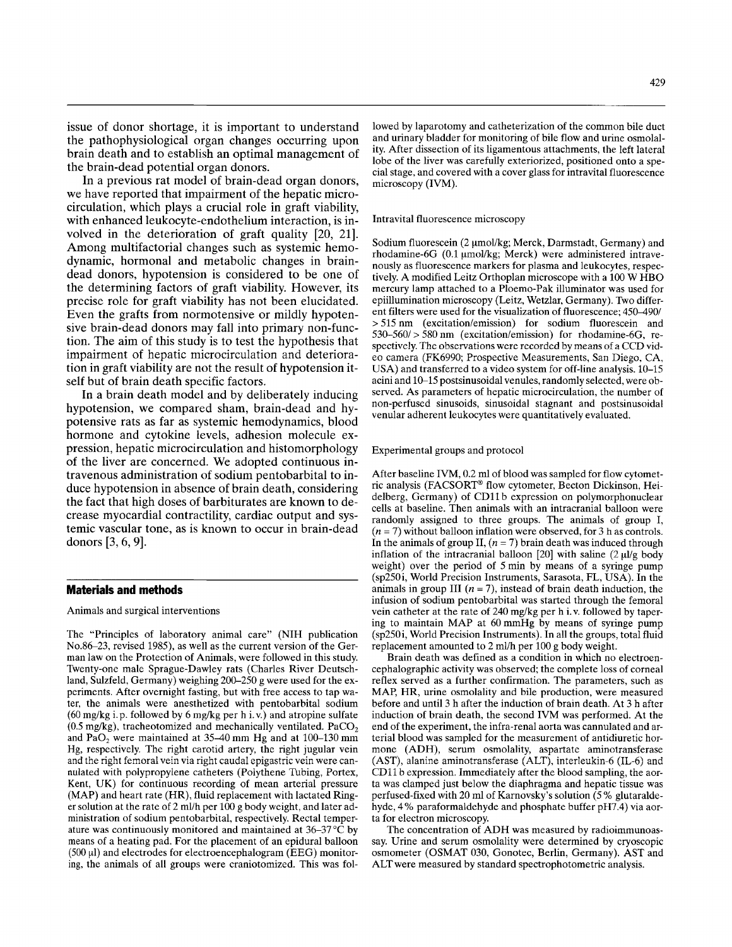issue of donor shortage, it is important to understand the pathophysiological organ changes occurring upon brain death and to establish an optimal management of the brain-dead potential organ donors.

In a previous rat model of brain-dead organ donors, we have reported that impairment of the hepatic microcirculation, which plays a crucial role in graft viability, with enhanced leukocyte-endothelium interaction, is involved in the deterioration of graft quality [20, 21]. Among multifactorial changes such as systemic hemodynamic, hormonal and metabolic changes in braindead donors, hypotension is considered to be one of the determining factors of graft viability. However, its precise role for graft viability has not been elucidated. Even the grafts from normotensive or mildly hypotensive brain-dead donors may fall into primary non-function. The aim of this study is to test the hypothesis that impairment of hepatic microcirculation and deterioration in graft viability are not the result of hypotension itself but of brain death specific factors.

In a brain death model and by deliberately inducing hypotension, we compared sham, brain-dead and hypotensive rats as far as systemic hemodynamics, blood hormone and cytokine levels, adhesion molecule expression, hepatic microcirculation and histomorphology of the liver are concerned. We adopted continuous intravenous administration of sodium pentobarbital to induce hypotension in absence of brain death, considering the fact that high doses of barbiturates are known to decrease myocardial contractility, cardiac output and systemic vascular tone, as is known to occur in brain-dead donors **[3, 6,** 91.

#### **Materials and methods**

### Animals and surgical interventions

The "Principles of laboratory animal care" (NIH publication No.86-23, revised 1985), as well as the current version of the German law on the Protection **of** Animals, were followed in this study. Twenty-one male Sprague-Dawley rats (Charles River Deutschland, Sulzfeld, Germany) weighing 200-250 g were used for the experiments. After overnight fasting, but with free access to tap water, the animals were anesthetized with pentobarbital sodium (60 mg/kg i.p. followed by 6 mg/kg per h i.v.) and atropine sulfate  $(0.5 \text{ mg/kg})$ , tracheotomized and mechanically ventilated. PaCO<sub>2</sub> and  $PaO<sub>2</sub>$  were maintained at 35–40 mm Hg and at 100–130 mm Hg, respectively. The right carotid artery, the right jugular vein and the right femoral vein via right caudal epigastric vein were cannulated with polypropylene catheters (Polythene Tubing, Portex, Kent, UK) for continuous recording of mean arterial pressure (MAP) and heart rate (HR), fluid replacement with lactated Ringer solution at the rate of 2 ml/h per 100 g body weight, and later administration of sodium pentobarbital, respectively. Rectal temperature was continuously monitored and maintained at  $36-37$  °C by means of a heating pad. For the placement of an epidural balloon  $(500 \,\mu l)$  and electrodes for electroencephalogram (EEG) monitoring, the animals of all groups were craniotomized. This was followed by laparotomy and catheterization of the common bile duct and urinary bladder for monitoring of bile flow and urine osmolality. After dissection of its ligamentous attachments, the left lateral lobe of the liver was carefully exteriorized, positioned onto a special stage, and covered with a cover glass for intravital fluorescence microscopy (IVM).

#### Intravital fluorescence microscopy

Sodium fluorescein (2 µmol/kg; Merck, Darmstadt, Germany) and rhodamine-6G (0.1 µmol/kg; Merck) were administered intravenously as fluorescence markers for plasma and leukocytes, respectively. A modified Leitz Orthoplan microscope with a 100 W HBO mercury lamp attached to a Ploemo-Pak illuminator was used for epiillumination microscopy (Leitz, Wetzlar, Germany). Two different filters were used for the visualization of fluorescence; 450–490/ > 515 nm (excitation/emission) for sodium fluorescein and 530-560/ > 580 nm (excitation/emission) for rhodamine-6G, respectively. The observations were recorded by means of a CCD video camera (FK6990; Prospective Measurements, San Diego, CA, USA) and transferred to a video system for off-line analysis. 10-15 acini and 10-15 postsinusoidal venules, randomly selected, were observed. As parameters of hepatic microcirculation, the number of non-perfused sinusoids, sinusoidal stagnant and postsinusoidal venular adherent leukocytes were quantitatively evaluated.

#### Experimental groups and protocol

After baseline IVM, 0.2 ml of blood was sampled for flow cytometric analysis (FACSORT® flow cytometer, Becton Dickinson, Heidelberg, Germany) of CD11b expression on polymorphonuclear cells at baseline. Then animals with an intracranial balloon were randomly assigned to three groups. The animals of group I,  $(n = 7)$  without balloon inflation were observed, for 3 h as controls. In the animals of group II,  $(n = 7)$  brain death was induced through inflation of the intracranial balloon [20] with saline  $(2 \mu l/g \text{ body})$ weight) over the period of 5min by means of a syringe pump (sp25Oi, World Precision Instruments, Sarasota, FL, USA). In the animals in group **III**  $(n = 7)$ , instead of brain death induction, the infusion of sodium pentobarbital was started through the femoral vein catheter at the rate of 240 mg/kg per h i.v. followed by tapering to maintain MAP at 60mmHg by means of syringe pump (sp25Oi, World Precision Instruments). In all the groups, total fluid replacement amounted to 2 mUh per 100 g body weight.

Brain death was defined as a condition in which no electroencephalographic activity was observed; the complete loss of corneal reflex served as a further confirmation. The parameters, such as MAP, HR, urine osmolality and bile production, were measured before and until 3 h after the induction of brain death. At 3 h after induction of brain death, the second IVM was performed. At the end of the experiment, the infra-renal aorta was cannulated and arterial blood was sampled for the measurement of antidiuretic hormone (ADH), serum osmolality, aspartate aminotransferase (AST), alanine aminotransferase (ALT), interleukin-6 (IL-6) and CD11 b expression. Immediately after the blood sampling, the aorta was clamped just below the diaphragma and hepatic tissue was perfused-fixed with 20 ml of Karnovsky's solution (5 % glutaraldehyde, 4% paraformaldehyde and phosphate buffer pH7.4) via aorta for electron microscopy.

The concentration of ADH was measured by radioimmunoassay. Urine and serum osmolality were determined by cryoscopic osmometer (OSMAT 030, Gonotec, Berlin, Germany). AST and ALT were measured by standard spectrophotometric analysis.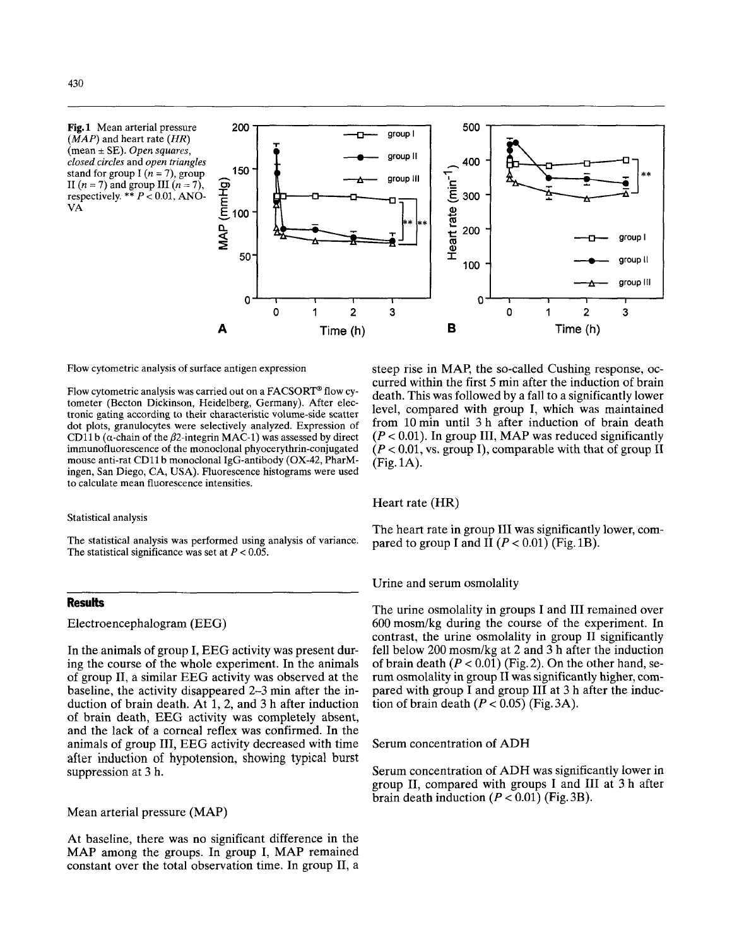



Flow cytometric analysis of surface antigen expression

Flow cytometric analysis was carried out on a FACSORT<sup>®</sup> flow cytometer (Becton Dickinson, Heidelberg, Germany), After electronic gating according to their characteristic volume-side scatter dot plots, granulocytes were selectively analyzed. Expression of CD11b ( $\alpha$ -chain of the  $\beta$ 2-integrin MAC-1) was assessed by direct immunofluorescence of the monoclonal phyocerythrin-conjugated mouse anti-rat CDll b monoclonal IgG-antibody (OX-42, PharMingen, San Diego, **CA,** USA). Fluorescence histograms were used to calculate mean fluorescence intensities.

#### Statistical analysis

The statistical analysis was performed using analysis of variance. The statistical significance was set at  $P < 0.05$ .

#### **Results**

Electroencephalogram (EEG)

In the animals of group I, EEG activity was present during the course of the whole experiment. In the animals of group 11, a similar EEG activity was observed at the baseline, the activity disappeared 2-3 min after the induction of brain death. At 1, 2, and 3 h after induction of brain death, EEG activity was completely absent, and the lack of a corneal reflex was confirmed. In the animals of group 111, EEG activity decreased with time after induction of hypotension, showing typical burst suppression at 3 h.

Mean arterial pressure (MAP)

At baseline, there was no significant difference in the MAP among the groups. In group I, MAP remained constant over the total observation time. In group 11, a

steep rise in MAP, the so-called Cushing response, occurred within the first 5 min after the induction of brain death. This was followed by a fall to a significantly lower level, compared with group I, which was maintained from 10 min until 3 h after induction of brain death  $(P < 0.01)$ . In group III, MAP was reduced significantly  $(P < 0.01$ , vs. group I), comparable with that of group II (Fig. 1A).

#### Heart rate (HR)

The heart rate in group 111 was significantly lower, compared to group I and II  $(P < 0.01)$  (Fig. 1B).

Urine and serum osmolality

The urine osmolality in groups I and III remained over 600mosm/kg during the course of the experiment. In contrast, the urine osmolality in group I1 significantly fell below 200 mosm/kg at 2 and 3 h after the induction of brain death  $(P < 0.01)$  (Fig. 2). On the other hand, serum osmolality in group I1 was significantly higher, compared with group  $\overline{I}$  and group III at 3 h after the induction of brain death  $(P < 0.05)$  (Fig. 3A).

Serum concentration of ADH

Serum concentration of ADH was significantly lower in group 11, compared with groups I and 111 at 3 h after brain death induction  $(P < 0.01)$  (Fig. 3B).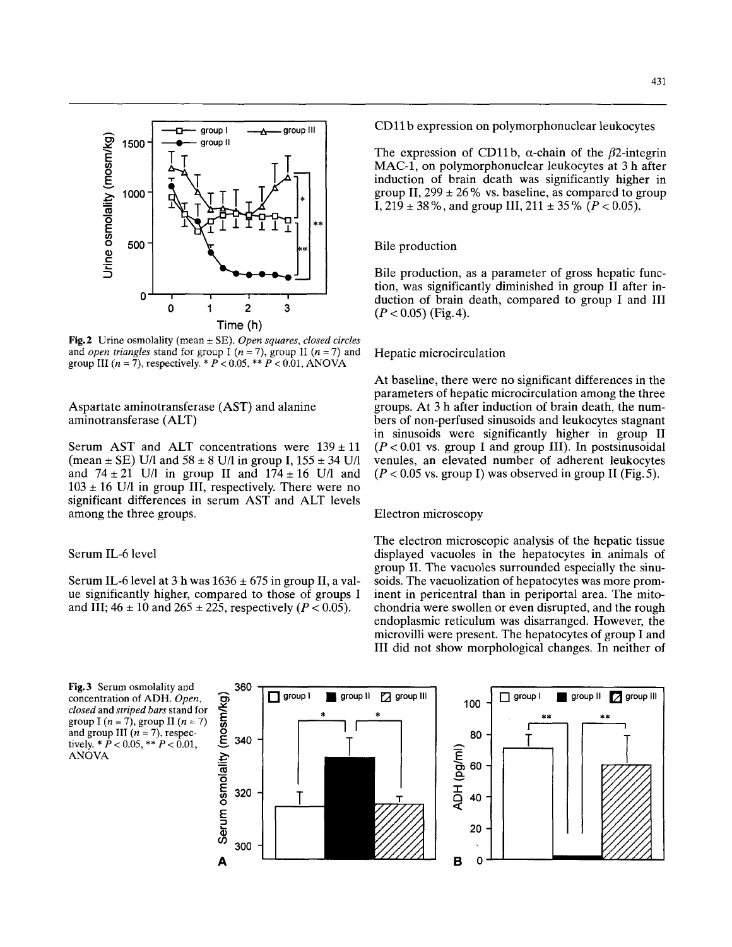

**Fig.2** Urine osmolality (mean  $\pm$  SE). Open squares, closed circles and *open triangles* stand for group I ( $n = 7$ ), group II ( $n = 7$ ) and group **111** *(n* = 7), respectively. \* P < 0.05, \*\* P < 0.01, **ANOVA** 

Aspartate aminotransferase (AST) and alanine aminotransferase (ALT)

Serum AST and ALT concentrations were  $139 \pm 11$ (mean  $\pm$  SE) U/l and 58  $\pm$  8 U/l in group I, 155  $\pm$  34 U/l and  $74 \pm 21$  U/l in group II and  $174 \pm 16$  U/l and  $103 \pm 16$  U/l in group III, respectively. There were no significant differences in serum AST and ALT levels among the three groups.

# Serum IL-6 level

Serum IL-6 level at 3 h was  $1636 \pm 675$  in group II, a value significantly higher, compared to those of groups I and III;  $46 \pm 10$  and  $265 \pm 225$ , respectively *(P < 0.05)*.

**360** 

CD11 b expression on polymorphonuclear leukocytes

The expression of CD11b,  $\alpha$ -chain of the  $\beta$ 2-integrin MAC-1, on polymorphonuclear leukocytes at 3 h after induction of brain death was significantly higher in group II,  $299 \pm 26$  % vs. baseline, as compared to group I,  $219 \pm 38$ %, and group III,  $211 \pm 35$ % *(P < 0.05)*.

#### Bile production

Bile production, as a parameter of gross hepatic function, was significantly diminished in group 11 after induction of brain death, compared to group I and I11  $(P < 0.05)$  (Fig. 4).

#### Hepatic microcirculation

At baseline, there were no significant differences in the parameters of hepatic microcirculation among the three groups. At 3 h after induction of brain death, the numbers of non-perfused sinusoids and leukocytes stagnant in sinusoids were significantly higher in group I1  $(P < 0.01$  vs. group I and group III). In postsinusoidal venules, an elevated number of adherent leukocytes  $(P < 0.05$  vs. group I) was observed in group II (Fig. 5).

#### Electron microscopy

The electron microscopic analysis of the hepatic tissue displayed vacuoles in the hepatocytes in animals of group 11. The vacuoles surrounded especially the sinusoids. The vacuolization of hepatocytes was more prominent in pericentral than in periportal area. The mitochondria were swollen or even disrupted, and the rough endoplasmic reticulum was disarranged. However, the microvilli were present. The hepatocytes of group I and I11 did not show morphological changes. In neither of

**Fig. 3** Serum osmolality and  $concentration of ADH. *Open*,$ *closed* and *striped bars* stand for group I  $(n = 7)$ , group II  $(n = 7)$ and group **III**  $(n = 7)$ , respec-<br>**E** 340 tively. \*  $\dot{P}$  < 0.05, \*\*  $\dot{P}$  < 0.01, **ANOVA** 



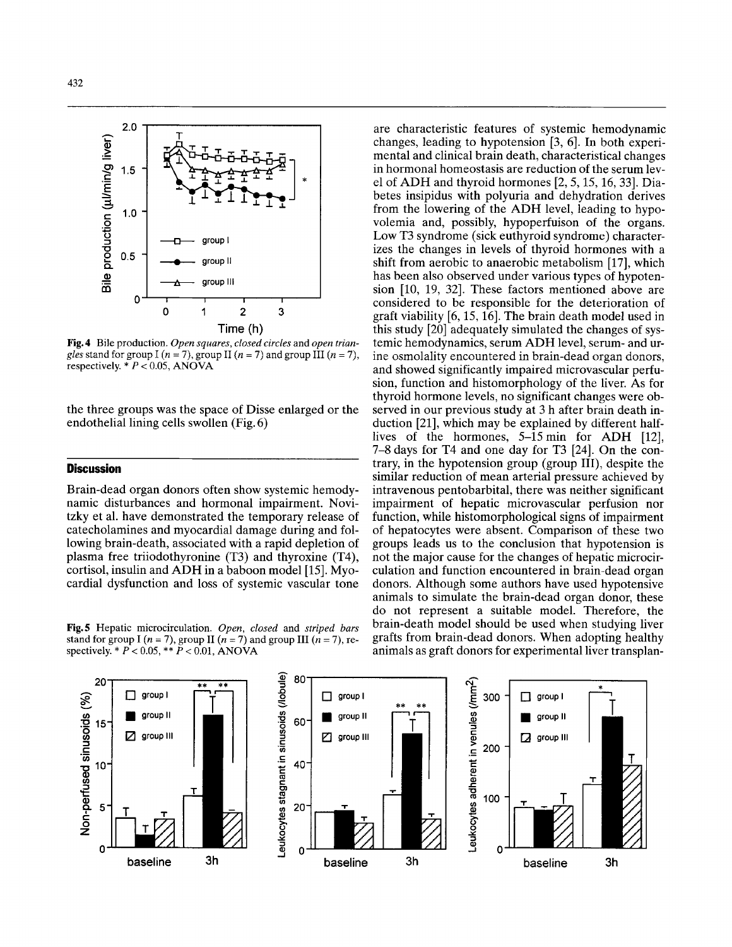

**Fig.4** Bile production. *Open squares, closed circles* and *open triangles* stand for group I  $(n = 7)$ , group II  $(n = 7)$  and group III  $(n = 7)$ , respectively.  $* P < 0.05$ , ANOVA

the three groups was the space of Disse enlarged or the endothelial lining cells swollen (Fig. 6)

#### **Discussion**

Brain-dead organ donors often show systemic hemodynamic disturbances and hormonal impairment. Novitzky et al. have demonstrated the temporary release of catecholamines and myocardial damage during and following brain-death, associated with a rapid depletion of plasma free triiodothyronine (T3) and thyroxine (T4), cortisol, insulin and ADH in a baboon model [15]. Myocardial dysfunction and loss of systemic vascular tone

**Fig. 5** Hepatic microcirculation. *Open, closed* and *striped bars*  stand for group I ( $n = 7$ ), group II ( $n = 7$ ) and group III ( $n = 7$ ), respectively.  $* P < 0.05$ ,  $* \tilde{P} < 0.01$ , ANOVA

are characteristic features of systemic hemodynamic changes, leading to hypotension [3, 61. In both experimental and clinical brain death, characteristical changes in hormonal homeostasis are reduction of the serum level of ADH and thyroid hormones [2,5,15,16,33]. Diabetes insipidus with polyuria and dehydration derives from the lowering of the ADH level, leading to hypovolemia and, possibly, hypoperfuison of the organs. Low T3 syndrome (sick euthyroid syndrome) characterizes the changes in levels of thyroid hormones with a shift from aerobic to anaerobic metabolism [17], which has been also observed under various types of hypotension [10, 19, 32]. These factors mentioned above are considered to be responsible for the deterioration of graft viability [6,15,16]. The brain death model used in this study [20] adequately simulated the changes of systemic hemodynamics, serum ADH level, serum- and urine osmolality encountered in brain-dead organ donors, and showed significantly impaired microvascular perfusion, function and histomorphology of the liver. As for thyroid hormone levels, no significant changes were observed in our previous study at 3 h after brain death induction [21], which may be explained by different halflives of the hormones, 5-15min for ADH [12], 7-8 days for T4 and one day for T3 [24]. On the contrary, in the hypotension group (group 111), despite the similar reduction of mean arterial pressure achieved by intravenous pentobarbital, there was neither significant impairment of hepatic microvascular perfusion nor function, while histomorphological signs of impairment of hepatocytes were absent. Comparison of these two groups leads us to the conclusion that hypotension is not the major cause for the changes of hepatic microcirculation and function encountered in brain-dead organ donors. Although some authors have used hypotensive animals to simulate the brain-dead organ donor, these do not represent a suitable model. Therefore, the brain-death model should be used when studying liver grafts from brain-dead donors. When adopting healthy

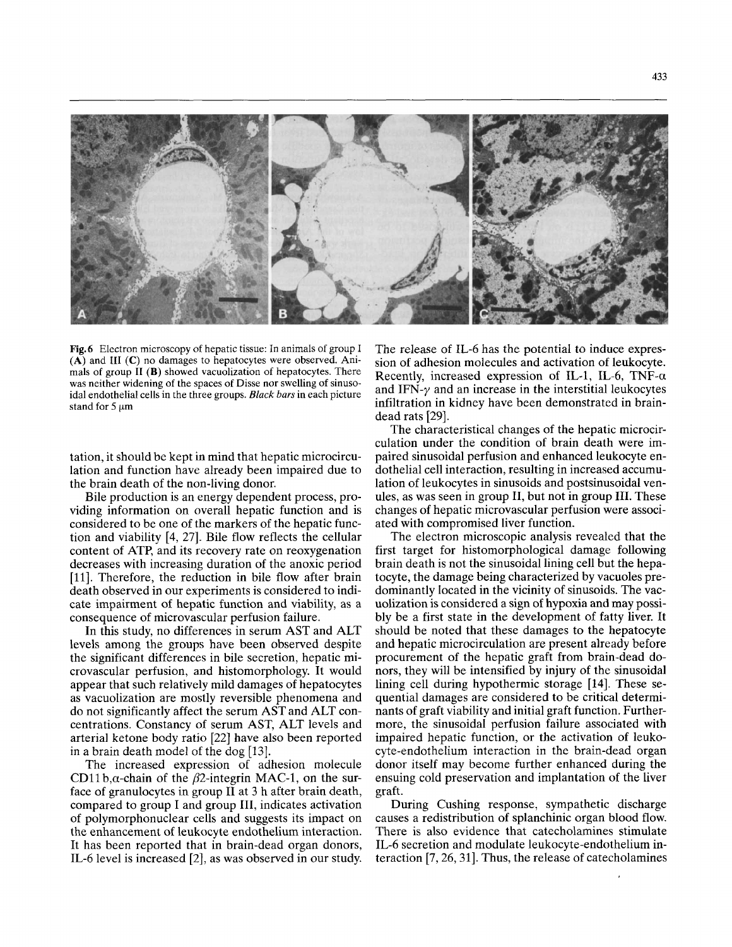

**Fig.6** Electron microscopy of hepatic tissue: In animals of group I **(A)** and **111 (C)** no damages to hepatocytes were observed. Animals **of** group **I1 (B)** showed vacuolization of hepatocytes. There was neither widening of the spaces of Disse nor swelling **of** sinusoidal endothelial **cells** in the three groups. *Black bars* in each picture stand for 5  $\mu$ m

tation, it should be kept in mind that hepatic microcirculation and function have already been impaired due to the brain death of the non-living donor.

Bile production is an energy dependent process, providing information on overall hepatic function and is considered to be one of the markers of the hepatic function and viability **[4,** 271. Bile flow reflects the cellular content of ATP, and its recovery rate on reoxygenation decreases with increasing duration of the anoxic period [11]. Therefore, the reduction in bile flow after brain death observed in our experiments is considered to indicate impairment of hepatic function and viability, as a consequence of microvascular perfusion failure.

In this study, no differences in serum AST and ALT levels among the groups have been observed despite the significant differences in bile secretion, hepatic microvascular perfusion, and histomorphology. It would appear that such relatively mild damages of hepatocytes as vacuolization are mostly reversible phenomena and do not significantly affect the serum AST and ALT concentrations. Constancy of serum AST, ALT levels and arterial ketone body ratio [22] have also been reported in a brain death model of the dog [13].

The increased expression of adhesion molecule CD11 b, $\alpha$ -chain of the  $\beta$ 2-integrin MAC-1, on the surface of granulocytes in group I1 at **3** h after brain death, compared to group I and group 111, indicates activation of polymorphonuclear cells and suggests its impact on the enhancement of leukocyte endothelium interaction. It has been reported that in brain-dead organ donors, IL-6 level is increased [2], as was observed in our study. The release of IL-6 has the potential to induce expression of adhesion molecules and activation of leukocyte. Recently, increased expression of IL-1, IL-6, TNF- $\alpha$ and IFN- $\gamma$  and an increase in the interstitial leukocytes infiltration in kidney have been demonstrated in braindead rats [29].

The characteristical changes of the hepatic microcirculation under the condition of brain death were impaired sinusoidal perfusion and enhanced leukocyte endothelial cell interaction, resulting in increased accumulation of leukocytes in sinusoids and postsinusoidal venules, as was seen in group 11, but not in group 111. These changes of hepatic microvascular perfusion were associated with compromised liver function.

The electron microscopic analysis revealed that the first target for histomorphological damage following brain death is not the sinusoidal lining cell but the hepatocyte, the damage being characterized by vacuoles predominantly located in the vicinity of sinusoids. The vacuolization is considered a sign of hypoxia and may possibly be a first state in the development of fatty liver. It should be noted that these damages to the hepatocyte and hepatic microcirculation are present already before procurement of the hepatic graft from brain-dead donors, they will be intensified by injury of the sinusoidal lining cell during hypothermic storage **[14].** These sequential damages are considered to be critical determinants of graft viability and initial graft function. Furthermore, the sinusoidal perfusion failure associated with impaired hepatic function, or the activation of leukocyte-endothelium interaction in the brain-dead organ donor itself may become further enhanced during the ensuing cold preservation and implantation of the liver graft.

During Cushing response, sympathetic discharge causes a redistribution of splanchinic organ blood flow. There is also evidence that catecholamines stimulate IL-6 secretion and modulate leukocyte-endothelium interaction [7,26,31]. Thus, the release of catecholamines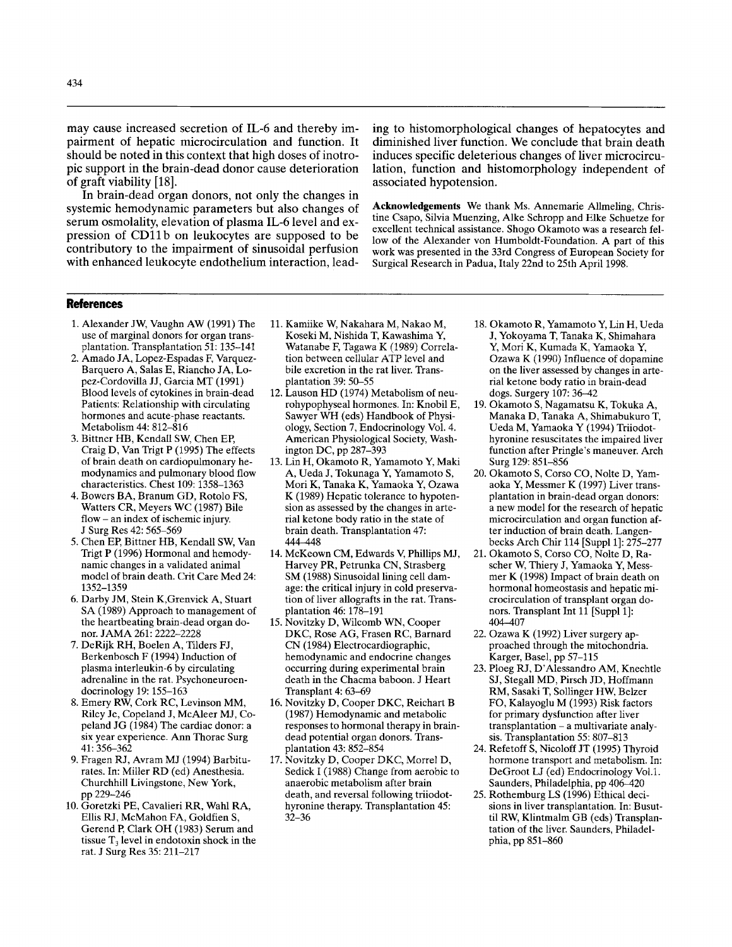may cause increased secretion of IL-6 and thereby impairment of hepatic microcirculation and function. It should be noted in this context that high doses of inotropic support in the brain-dead donor cause deterioration of graft viability [18].

In brain-dead organ donors, not only the changes in systemic hernodynamic parameters but also changes of serum osmolality, elevation of plasma IL-6 level and expression of CD11b on leukocytes are supposed to be contributory to the impairment of sinusoidal perfusion with enhanced leukocyte endothelium interaction, leading to histomorphological changes of hepatocytes and diminished liver function. We conclude that brain death induces specific deleterious changes of liver microcirculation, function and histomorphology independent of associated hypotension.

**Acknowledgements** We thank MS. Annemarie Allmeling, Christine Csapo, Silvia Muenzing, Alke Schropp and Eke Schuetze for excellent technical assistance. Shogo Okamoto was a research fellow of the Alexander von Humboldt-Foundation. A part of this work was presented in the 33rd Congress of European Society for Surgical Research in Padua, Italy 22nd to 25th April 1998.

#### **References**

- 1. Alexander JW, Vaughn AW (1991) The use of marginal donors for organ transplantation. Transplantation 51: 135-141
- 2. Amado JA, Lopez-Espadas F, Varquez-Barquero A, Salas E, Riancho JA, Lopez-Cordovilla JJ, Garcia MT (1991) Blood levels of cytokines in brain-dead Patients: Relationship with circulating hormones and acute-phase reactants. Metabolism  $44:812-\overline{8}16$
- Craig D, Van Trigt P (1995) The effects of brain death on cardiopulmonary hemodynamics and pulmonary blood flow characteristics. Chest 109: 1358-1363 3. Bittner HB, Kendall SW, Chen EP,
- 4. Bowers BA, Branum GD, Rotolo FS, Watters CR, Meyers WC (1987) Bile flow - an index of ischemic injury. J Surg Res 42: 565-569
- *5.* Chen EP, Bittner HB, Kendall SW, Van Trigt P (1996) Hormonal and hemodynamic changes in a validated animal model of brain death. Crit Care Med 24: 1352-1359
- 6. Darby JM, Stein K,Grenvick A, Stuart **SA** (1989) Approach to management of the heartbeating brain-dead organ donor. JAMA 261: 2222-2228
- 7. DeRijk RH, Boelen A, Tilders FJ, Berkenbosch F (1994) Induction of plasma interleukin-6 by circulating adrenaline in the rat. Psychoneuroendocrinology 19: 155-163
- 8. Emery RW, Cork RC, Levinson MM, Riley Je, Copeland J, McAleer MJ, Copeland JG (1984) The cardiac donor: a six year experience. Ann Thorac Surg 41: 356-362
- 9. Fragen RJ, Avram MJ (1994) Barbiturates. In: Miller RD (ed) Anesthesia. Churchhill Livingstone, New York, pp 229-246
- 10. Goretzki PE, Cavalieri RR, Wahl RA, Ellis RJ, McMahon FA, Goldfien S, Gerend **P,** Clark OH (1983) Serum and tissue T, level in endotoxin shock in the rat. J Surg Res 35: 211-217
- 11. Kamiike W, Nakahara M, Nakao M, Koseki M, Nishida T, Kawashima Y, Watanabe F, Tagawa K (1989) Correlation between cellular ATP level and bile excretion in the rat liver. Transplantation 39: *5&55*
- 12. Lauson HD (1974) Metabolism of neurohypophyseal hormones. In: Knobil E, Sawyer WH (eds) Handbook of Physiology, Section 7, Endocrinology Vol. 4. American Physiological Society, Washington DC, pp 287-393
- 13. Lin H, Okamoto R, Yamamoto Y, Maki A, Ueda J, Tokunaga Y, Yamamoto S, Mori K, Tanaka K, Yamaoka Y, Ozawa K (1989) Hepatic tolerance to hypotension as assessed by the changes in arterial ketone body ratio in the state of brain death. Transplantation 47: 444-448
- 14. McKeown CM, Edwards V, Phillips MJ, Harvey PR, Petrunka CN, Strasberg SM (1988) Sinusoidal lining cell damage: the critical injury in cold preservation of liver allografts in the rat. Transplantation 46: 178-191
- 15. Novitzky D, Wilcomb WN, Cooper DKC, Rose AG, Frasen RC, Barnard CN (1984) Electrocardiographic, hemodynamic and endocrine changes occurring during experimental brain death in the Chacma baboon. J Heart Transplant 4: 63-69
- 16. Novitzky D, Cooper DKC, Reichart B (1987) Hemodynamic and metabolic responses to hormonal therapy in braindead potential organ donors. Transplantation 43: 852-854
- 17. Novitzky D, Cooper DKC, Morrel D, Sedick I (1988) Change from aerobic to anaerobic metabolism after brain death, and reversal following triiodothyronine therapy. Transplantation 45: 32-36
- 18. Okamoto R, Yamamoto Y, Lin H, Ueda J, Yokoyama **T,** Tanaka K, Shimahara Y, Mori K, Kumada K, Yamaoka Y, Ozawa K (1990) Influence of dopamine on the liver assessed by changes in arterial ketone body ratio in brain-dead dogs. Surgery 107: 36-42
- 19. Okamoto **S,** Nagamatsu K, Tokuka A, Manaka D, Tanaka A, Shimabukuro T, Ueda M, Yamaoka Y (1994) Triiodothyronine resuscitates the impaired liver function after Pringle's maneuver. Arch Surg 129: 851-856
- 20. Okamoto S, Corso CO, Nolte D, Yamaoka Y, Messmer K (1997) Liver transplantation in brain-dead organ donors: a new model for the research of hepatic microcirculation and organ function after induction of brain death. Langenbecks Arch Chir 114 [Suppl 1]: 275-277
- 21. Okamoto S, Corso CO, Nolte D, Rascher w, Thiery J, Yamaoka Y, Messmer K (1998) Impact of brain death on hormonal homeostasis and hepatic microcirculation of transplant organ donors. Transplant Int 11 [Suppl 1]: 404-407
- proached through the mitochondria. Karger, Basel, pp 57-115 22. Ozawa K (1992) Liver surgery ap-
- 23. Ploeg RJ, D'Alessandro AM, Knechtle SJ, Stegall MD, Pirsch JD, Hoffmann RM, Sasaki T, Sollinger HW, Belzer FO, Kalayoglu M (1993) Risk factors for primary dysfunction after liver transplantation - a multivariate analysis. Transplantation *55:* 807-813
- 24. Refetoff **S,** Nicoloff JT (1995) Thyroid hormone transport and metabolism. In: DeGroot LJ (ed) Endocrinology V01.l. Saunders, Philadelphia, pp 406-420
- sions in liver transplantation. In: Busutti1 RW, Klintmalm GB (eds) Transplantation of the liver. Saunders, Philadelphia, pp 851-860 25. Rothemburg LS (1996) Ethical deci-